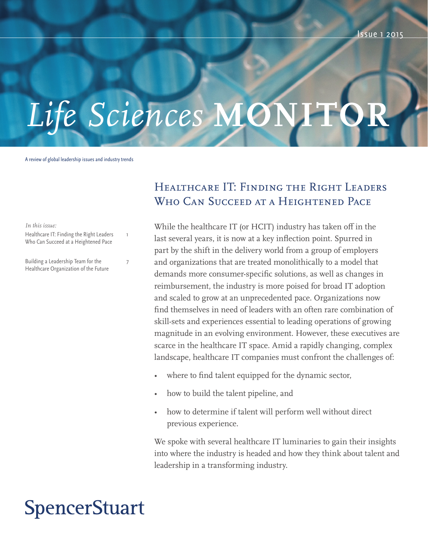# Life Sciences MON

A review of global leadership issues and industry trends

*In this issue:*

Healthcare IT: Finding the Right Leaders Who Can Succeed at a Heightened Pace

1

7

Building a Leadership Team for the Healthcare Organization of the Future

## Healthcare IT: Finding the Right Leaders Who Can Succeed at a Heightened Pace

While the healthcare IT (or HCIT) industry has taken off in the last several years, it is now at a key inflection point. Spurred in part by the shift in the delivery world from a group of employers and organizations that are treated monolithically to a model that demands more consumer-specific solutions, as well as changes in reimbursement, the industry is more poised for broad IT adoption and scaled to grow at an unprecedented pace. Organizations now find themselves in need of leaders with an often rare combination of skill-sets and experiences essential to leading operations of growing magnitude in an evolving environment. However, these executives are scarce in the healthcare IT space. Amid a rapidly changing, complex landscape, healthcare IT companies must confront the challenges of:

- where to find talent equipped for the dynamic sector,
- how to build the talent pipeline, and
- how to determine if talent will perform well without direct previous experience.

We spoke with several healthcare IT luminaries to gain their insights into where the industry is headed and how they think about talent and leadership in a transforming industry.

# **SpencerStuart**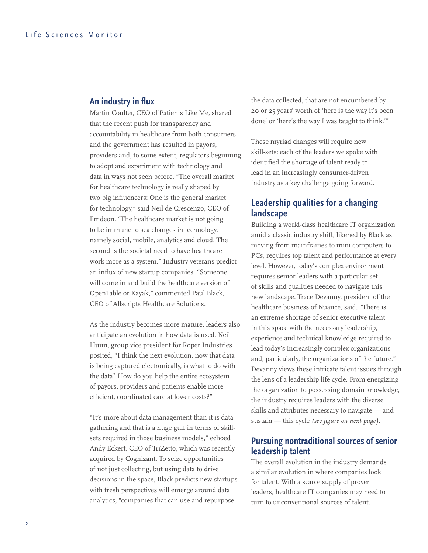#### **An industry in flux**

Martin Coulter, CEO of Patients Like Me, shared that the recent push for transparency and accountability in healthcare from both consumers and the government has resulted in payors, providers and, to some extent, regulators beginning to adopt and experiment with technology and data in ways not seen before. "The overall market for healthcare technology is really shaped by two big influencers: One is the general market for technology," said Neil de Crescenzo, CEO of Emdeon. "The healthcare market is not going to be immune to sea changes in technology, namely social, mobile, analytics and cloud. The second is the societal need to have healthcare work more as a system." Industry veterans predict an influx of new startup companies. "Someone will come in and build the healthcare version of OpenTable or Kayak," commented Paul Black, CEO of Allscripts Healthcare Solutions.

As the industry becomes more mature, leaders also anticipate an evolution in how data is used. Neil Hunn, group vice president for Roper Industries posited, "I think the next evolution, now that data is being captured electronically, is what to do with the data? How do you help the entire ecosystem of payors, providers and patients enable more efficient, coordinated care at lower costs?"

"It's more about data management than it is data gathering and that is a huge gulf in terms of skillsets required in those business models," echoed Andy Eckert, CEO of TriZetto, which was recently acquired by Cognizant. To seize opportunities of not just collecting, but using data to drive decisions in the space, Black predicts new startups with fresh perspectives will emerge around data analytics, "companies that can use and repurpose

the data collected, that are not encumbered by 20 or 25 years' worth of 'here is the way it's been done' or 'here's the way I was taught to think.'"

These myriad changes will require new skill-sets; each of the leaders we spoke with identified the shortage of talent ready to lead in an increasingly consumer-driven industry as a key challenge going forward.

#### **Leadership qualities for a changing landscape**

Building a world-class healthcare IT organization amid a classic industry shift, likened by Black as moving from mainframes to mini computers to PCs, requires top talent and performance at every level. However, today's complex environment requires senior leaders with a particular set of skills and qualities needed to navigate this new landscape. Trace Devanny, president of the healthcare business of Nuance, said, "There is an extreme shortage of senior executive talent in this space with the necessary leadership, experience and technical knowledge required to lead today's increasingly complex organizations and, particularly, the organizations of the future." Devanny views these intricate talent issues through the lens of a leadership life cycle. From energizing the organization to possessing domain knowledge, the industry requires leaders with the diverse skills and attributes necessary to navigate — and sustain — this cycle *(see figure on next page).*

#### **Pursuing nontraditional sources of senior leadership talent**

The overall evolution in the industry demands a similar evolution in where companies look for talent. With a scarce supply of proven leaders, healthcare IT companies may need to turn to unconventional sources of talent.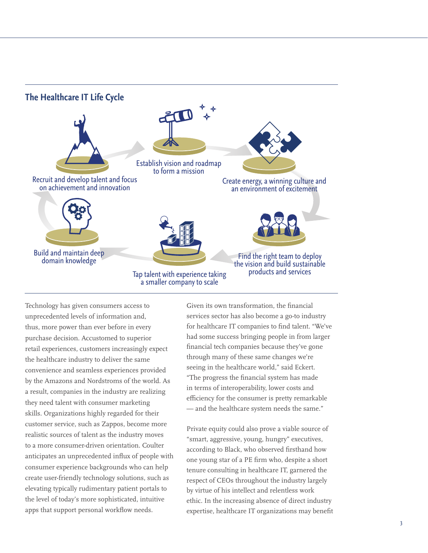

Technology has given consumers access to unprecedented levels of information and, thus, more power than ever before in every purchase decision. Accustomed to superior retail experiences, customers increasingly expect the healthcare industry to deliver the same convenience and seamless experiences provided by the Amazons and Nordstroms of the world. As a result, companies in the industry are realizing they need talent with consumer marketing skills. Organizations highly regarded for their customer service, such as Zappos, become more realistic sources of talent as the industry moves to a more consumer-driven orientation. Coulter anticipates an unprecedented influx of people with consumer experience backgrounds who can help create user-friendly technology solutions, such as elevating typically rudimentary patient portals to the level of today's more sophisticated, intuitive apps that support personal workflow needs.

Given its own transformation, the financial services sector has also become a go-to industry for healthcare IT companies to find talent. "We've had some success bringing people in from larger financial tech companies because they've gone through many of these same changes we're seeing in the healthcare world," said Eckert. "The progress the financial system has made in terms of interoperability, lower costs and efficiency for the consumer is pretty remarkable — and the healthcare system needs the same."

Private equity could also prove a viable source of "smart, aggressive, young, hungry" executives, according to Black, who observed firsthand how one young star of a PE firm who, despite a short tenure consulting in healthcare IT, garnered the respect of CEOs throughout the industry largely by virtue of his intellect and relentless work ethic. In the increasing absence of direct industry expertise, healthcare IT organizations may benefit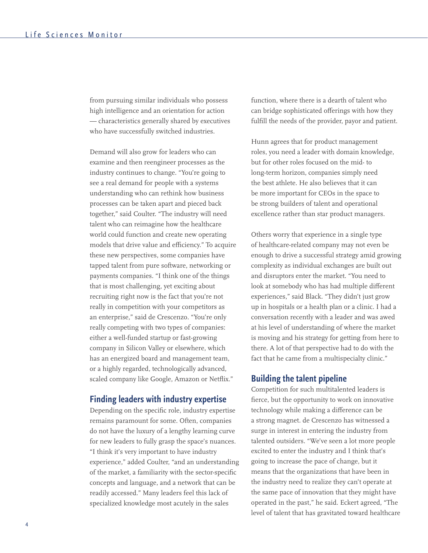from pursuing similar individuals who possess high intelligence and an orientation for action — characteristics generally shared by executives who have successfully switched industries.

Demand will also grow for leaders who can examine and then reengineer processes as the industry continues to change. "You're going to see a real demand for people with a systems understanding who can rethink how business processes can be taken apart and pieced back together," said Coulter. "The industry will need talent who can reimagine how the healthcare world could function and create new operating models that drive value and efficiency." To acquire these new perspectives, some companies have tapped talent from pure software, networking or payments companies. "I think one of the things that is most challenging, yet exciting about recruiting right now is the fact that you're not really in competition with your competitors as an enterprise," said de Crescenzo. "You're only really competing with two types of companies: either a well-funded startup or fast-growing company in Silicon Valley or elsewhere, which has an energized board and management team, or a highly regarded, technologically advanced, scaled company like Google, Amazon or Netflix."

#### **Finding leaders with industry expertise**

Depending on the specific role, industry expertise remains paramount for some. Often, companies do not have the luxury of a lengthy learning curve for new leaders to fully grasp the space's nuances. "I think it's very important to have industry experience," added Coulter, "and an understanding of the market, a familiarity with the sector-specific concepts and language, and a network that can be readily accessed." Many leaders feel this lack of specialized knowledge most acutely in the sales

function, where there is a dearth of talent who can bridge sophisticated offerings with how they fulfill the needs of the provider, payor and patient.

Hunn agrees that for product management roles, you need a leader with domain knowledge, but for other roles focused on the mid- to long-term horizon, companies simply need the best athlete. He also believes that it can be more important for CEOs in the space to be strong builders of talent and operational excellence rather than star product managers.

Others worry that experience in a single type of healthcare-related company may not even be enough to drive a successful strategy amid growing complexity as individual exchanges are built out and disruptors enter the market. "You need to look at somebody who has had multiple different experiences," said Black. "They didn't just grow up in hospitals or a health plan or a clinic. I had a conversation recently with a leader and was awed at his level of understanding of where the market is moving and his strategy for getting from here to there. A lot of that perspective had to do with the fact that he came from a multispecialty clinic."

#### **Building the talent pipeline**

Competition for such multitalented leaders is fierce, but the opportunity to work on innovative technology while making a difference can be a strong magnet. de Crescenzo has witnessed a surge in interest in entering the industry from talented outsiders. "We've seen a lot more people excited to enter the industry and I think that's going to increase the pace of change, but it means that the organizations that have been in the industry need to realize they can't operate at the same pace of innovation that they might have operated in the past," he said. Eckert agreed, "The level of talent that has gravitated toward healthcare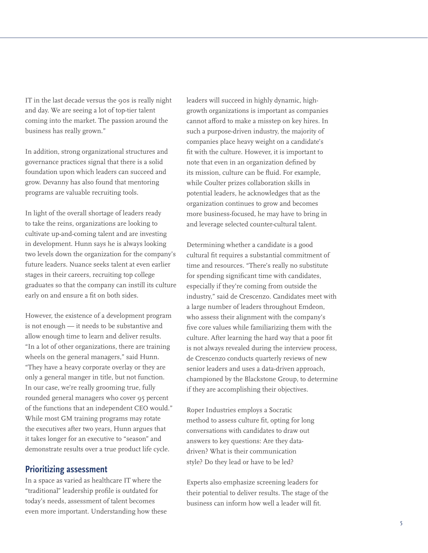IT in the last decade versus the 90s is really night and day. We are seeing a lot of top-tier talent coming into the market. The passion around the business has really grown."

In addition, strong organizational structures and governance practices signal that there is a solid foundation upon which leaders can succeed and grow. Devanny has also found that mentoring programs are valuable recruiting tools.

In light of the overall shortage of leaders ready to take the reins, organizations are looking to cultivate up-and-coming talent and are investing in development. Hunn says he is always looking two levels down the organization for the company's future leaders. Nuance seeks talent at even earlier stages in their careers, recruiting top college graduates so that the company can instill its culture early on and ensure a fit on both sides.

However, the existence of a development program is not enough — it needs to be substantive and allow enough time to learn and deliver results. "In a lot of other organizations, there are training wheels on the general managers," said Hunn. "They have a heavy corporate overlay or they are only a general manger in title, but not function. In our case, we're really grooming true, fully rounded general managers who cover 95 percent of the functions that an independent CEO would." While most GM training programs may rotate the executives after two years, Hunn argues that it takes longer for an executive to "season" and demonstrate results over a true product life cycle.

#### **Prioritizing assessment**

In a space as varied as healthcare IT where the "traditional" leadership profile is outdated for today's needs, assessment of talent becomes even more important. Understanding how these leaders will succeed in highly dynamic, highgrowth organizations is important as companies cannot afford to make a misstep on key hires. In such a purpose-driven industry, the majority of companies place heavy weight on a candidate's fit with the culture. However, it is important to note that even in an organization defined by its mission, culture can be fluid. For example, while Coulter prizes collaboration skills in potential leaders, he acknowledges that as the organization continues to grow and becomes more business-focused, he may have to bring in and leverage selected counter-cultural talent.

Determining whether a candidate is a good cultural fit requires a substantial commitment of time and resources. "There's really no substitute for spending significant time with candidates, especially if they're coming from outside the industry," said de Crescenzo. Candidates meet with a large number of leaders throughout Emdeon, who assess their alignment with the company's five core values while familiarizing them with the culture. After learning the hard way that a poor fit is not always revealed during the interview process, de Crescenzo conducts quarterly reviews of new senior leaders and uses a data-driven approach, championed by the Blackstone Group, to determine if they are accomplishing their objectives.

Roper Industries employs a Socratic method to assess culture fit, opting for long conversations with candidates to draw out answers to key questions: Are they datadriven? What is their communication style? Do they lead or have to be led?

Experts also emphasize screening leaders for their potential to deliver results. The stage of the business can inform how well a leader will fit.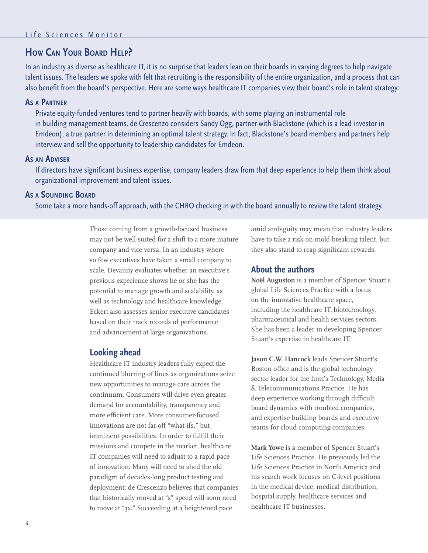#### **How Can Your Board Help?**

In an industry as diverse as healthcare IT, it is no surprise that leaders lean on their boards in varying degrees to help navigate talent issues. The leaders we spoke with felt that recruiting is the responsibility of the entire organization, and a process that can also benefit from the board's perspective. Here are some ways healthcare IT companies view their board's role in talent strategy:

#### **As <sup>a</sup> Partner**

Private equity-funded ventures tend to partner heavily with boards, with some playing an instrumental role in building management teams. de Crescenzo considers Sandy Ogg, partner with Blackstone (which is a lead investor in Emdeon), a true partner in determining an optimal talent strategy. In fact, Blackstone's board members and partners help interview and sell the opportunity to leadership candidates for Emdeon.

#### **As an Adviser**

If directors have significant business expertise, company leaders draw from that deep experience to help them think about organizational improvement and talent issues.

#### **As <sup>a</sup> Sounding Board**

Some take a more hands-off approach, with the CHRO checking in with the board annually to review the talent strategy.

Those coming from a growth-focused business may not be well-suited for a shift to a more mature company and vice versa. In an industry where so few executives have taken a small company to scale, Devanny evaluates whether an executive's previous experience shows he or she has the potential to manage growth and scalability, as well as technology and healthcare knowledge. Eckert also assesses senior executive candidates based on their track records of performance and advancement at large organizations.

#### **Looking ahead**

Healthcare IT industry leaders fully expect the continued blurring of lines as organizations seize new opportunities to manage care across the continuum. Consumers will drive even greater demand for accountability, transparency and more efficient care. More consumer-focused innovations are not far-off "what-ifs," but imminent possibilities. In order to fulfill their missions and compete in the market, healthcare IT companies will need to adjust to a rapid pace of innovation. Many will need to shed the old paradigm of decades-long product testing and deployment; de Crescenzo believes that companies that historically moved at "x" speed will soon need to move at "3x." Succeeding at a heightened pace

amid ambiguity may mean that industry leaders have to take a risk on mold-breaking talent, but they also stand to reap significant rewards.

#### **About the authors**

**Noël Auguston** is a member of Spencer Stuart's global Life Sciences Practice with a focus on the innovative healthcare space, including the healthcare IT, biotechnology, pharmaceutical and health services sectors. She has been a leader in developing Spencer Stuart's expertise in healthcare IT.

**Jason C.W. Hancock** leads Spencer Stuart's Boston office and is the global technology sector leader for the firm's Technology, Media & Telecommunications Practice. He has deep experience working through difficult board dynamics with troubled companies, and expertise building boards and executive teams for cloud computing companies.

**Mark Yowe** is a member of Spencer Stuart's Life Sciences Practice. He previously led the Life Sciences Practice in North America and his search work focuses on C-level positions in the medical device, medical distribution, hospital supply, healthcare services and healthcare IT businesses.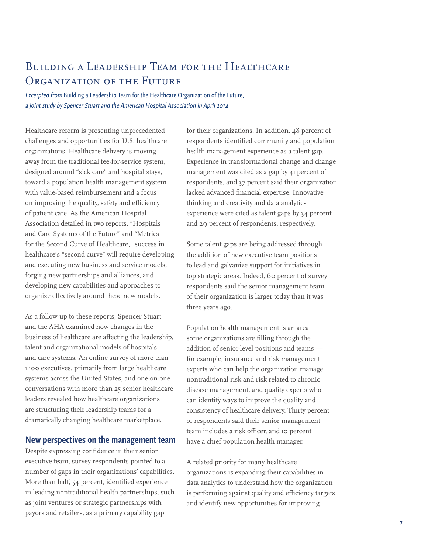### Building a Leadership Team for the Healthcare ORGANIZATION OF THE FUTURE

Excerpted from Building a Leadership Team for the Healthcare Organization of the Future, a joint study by Spencer Stuart and the American Hospital Association in April 2014

Healthcare reform is presenting unprecedented challenges and opportunities for U.S. healthcare organizations. Healthcare delivery is moving away from the traditional fee-for-service system, designed around "sick care" and hospital stays, toward a population health management system with value-based reimbursement and a focus on improving the quality, safety and efficiency of patient care. As the American Hospital Association detailed in two reports, "Hospitals and Care Systems of the Future" and "Metrics for the Second Curve of Healthcare," success in healthcare's "second curve" will require developing and executing new business and service models, forging new partnerships and alliances, and developing new capabilities and approaches to organize effectively around these new models.

As a follow-up to these reports, Spencer Stuart and the AHA examined how changes in the business of healthcare are affecting the leadership, talent and organizational models of hospitals and care systems. An online survey of more than 1,100 executives, primarily from large healthcare systems across the United States, and one-on-one conversations with more than 25 senior healthcare leaders revealed how healthcare organizations are structuring their leadership teams for a dramatically changing healthcare marketplace.

#### **New perspectives on the management team**

Despite expressing confidence in their senior executive team, survey respondents pointed to a number of gaps in their organizations' capabilities. More than half, 54 percent, identified experience in leading nontraditional health partnerships, such as joint ventures or strategic partnerships with payors and retailers, as a primary capability gap

for their organizations. In addition, 48 percent of respondents identified community and population health management experience as a talent gap. Experience in transformational change and change management was cited as a gap by 41 percent of respondents, and 37 percent said their organization lacked advanced financial expertise. Innovative thinking and creativity and data analytics experience were cited as talent gaps by 34 percent and 29 percent of respondents, respectively.

Some talent gaps are being addressed through the addition of new executive team positions to lead and galvanize support for initiatives in top strategic areas. Indeed, 60 percent of survey respondents said the senior management team of their organization is larger today than it was three years ago.

Population health management is an area some organizations are filling through the addition of senior-level positions and teams for example, insurance and risk management experts who can help the organization manage nontraditional risk and risk related to chronic disease management, and quality experts who can identify ways to improve the quality and consistency of healthcare delivery. Thirty percent of respondents said their senior management team includes a risk officer, and 10 percent have a chief population health manager.

A related priority for many healthcare organizations is expanding their capabilities in data analytics to understand how the organization is performing against quality and efficiency targets and identify new opportunities for improving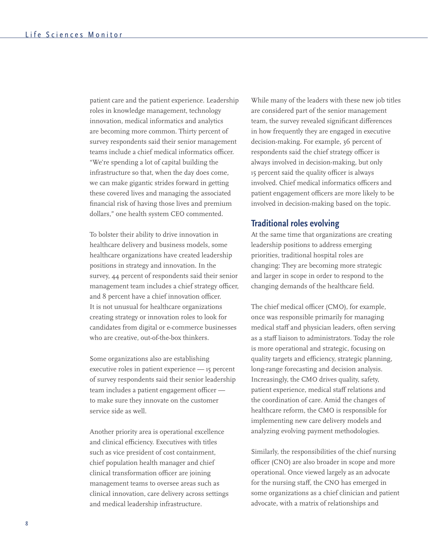patient care and the patient experience. Leadership roles in knowledge management, technology innovation, medical informatics and analytics are becoming more common. Thirty percent of survey respondents said their senior management teams include a chief medical informatics officer. "We're spending a lot of capital building the infrastructure so that, when the day does come, we can make gigantic strides forward in getting these covered lives and managing the associated financial risk of having those lives and premium dollars," one health system CEO commented.

To bolster their ability to drive innovation in healthcare delivery and business models, some healthcare organizations have created leadership positions in strategy and innovation. In the survey, 44 percent of respondents said their senior management team includes a chief strategy officer, and 8 percent have a chief innovation officer. It is not unusual for healthcare organizations creating strategy or innovation roles to look for candidates from digital or e-commerce businesses who are creative, out-of-the-box thinkers.

Some organizations also are establishing executive roles in patient experience — 15 percent of survey respondents said their senior leadership team includes a patient engagement officer to make sure they innovate on the customer service side as well.

Another priority area is operational excellence and clinical efficiency. Executives with titles such as vice president of cost containment, chief population health manager and chief clinical transformation officer are joining management teams to oversee areas such as clinical innovation, care delivery across settings and medical leadership infrastructure.

While many of the leaders with these new job titles are considered part of the senior management team, the survey revealed significant differences in how frequently they are engaged in executive decision-making. For example, 36 percent of respondents said the chief strategy officer is always involved in decision-making, but only 15 percent said the quality officer is always involved. Chief medical informatics officers and patient engagement officers are more likely to be involved in decision-making based on the topic.

#### **Traditional roles evolving**

At the same time that organizations are creating leadership positions to address emerging priorities, traditional hospital roles are changing: They are becoming more strategic and larger in scope in order to respond to the changing demands of the healthcare field.

The chief medical officer (CMO), for example, once was responsible primarily for managing medical staff and physician leaders, often serving as a staff liaison to administrators. Today the role is more operational and strategic, focusing on quality targets and efficiency, strategic planning, long-range forecasting and decision analysis. Increasingly, the CMO drives quality, safety, patient experience, medical staff relations and the coordination of care. Amid the changes of healthcare reform, the CMO is responsible for implementing new care delivery models and analyzing evolving payment methodologies.

Similarly, the responsibilities of the chief nursing officer (CNO) are also broader in scope and more operational. Once viewed largely as an advocate for the nursing staff, the CNO has emerged in some organizations as a chief clinician and patient advocate, with a matrix of relationships and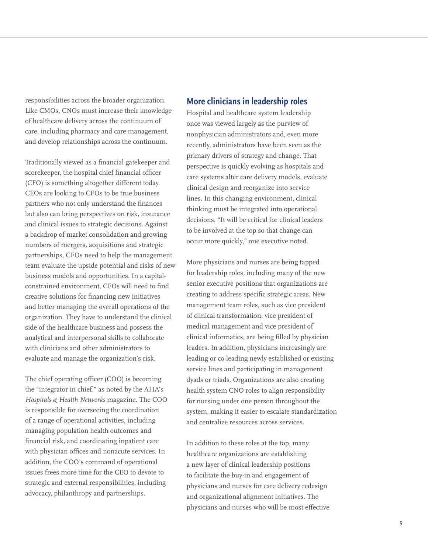responsibilities across the broader organization. Like CMOs, CNOs must increase their knowledge of healthcare delivery across the continuum of care, including pharmacy and care management, and develop relationships across the continuum.

Traditionally viewed as a financial gatekeeper and scorekeeper, the hospital chief financial officer (CFO) is something altogether different today. CEOs are looking to CFOs to be true business partners who not only understand the finances but also can bring perspectives on risk, insurance and clinical issues to strategic decisions. Against a backdrop of market consolidation and growing numbers of mergers, acquisitions and strategic partnerships, CFOs need to help the management team evaluate the upside potential and risks of new business models and opportunities. In a capitalconstrained environment, CFOs will need to find creative solutions for financing new initiatives and better managing the overall operations of the organization. They have to understand the clinical side of the healthcare business and possess the analytical and interpersonal skills to collaborate with clinicians and other administrators to evaluate and manage the organization's risk.

The chief operating officer (COO) is becoming the "integrator in chief," as noted by the AHA's *Hospitals & Health Networks* magazine. The COO is responsible for overseeing the coordination of a range of operational activities, including managing population health outcomes and financial risk, and coordinating inpatient care with physician offices and nonacute services. In addition, the COO's command of operational issues frees more time for the CEO to devote to strategic and external responsibilities, including advocacy, philanthropy and partnerships.

#### **More clinicians in leadership roles**

Hospital and healthcare system leadership once was viewed largely as the purview of nonphysician administrators and, even more recently, administrators have been seen as the primary drivers of strategy and change. That perspective is quickly evolving as hospitals and care systems alter care delivery models, evaluate clinical design and reorganize into service lines. In this changing environment, clinical thinking must be integrated into operational decisions. "It will be critical for clinical leaders to be involved at the top so that change can occur more quickly," one executive noted.

More physicians and nurses are being tapped for leadership roles, including many of the new senior executive positions that organizations are creating to address specific strategic areas. New management team roles, such as vice president of clinical transformation, vice president of medical management and vice president of clinical informatics, are being filled by physician leaders. In addition, physicians increasingly are leading or co-leading newly established or existing service lines and participating in management dyads or triads. Organizations are also creating health system CNO roles to align responsibility for nursing under one person throughout the system, making it easier to escalate standardization and centralize resources across services.

In addition to these roles at the top, many healthcare organizations are establishing a new layer of clinical leadership positions to facilitate the buy-in and engagement of physicians and nurses for care delivery redesign and organizational alignment initiatives. The physicians and nurses who will be most effective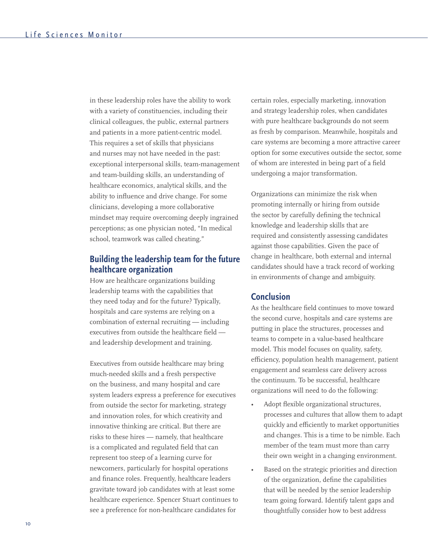in these leadership roles have the ability to work with a variety of constituencies, including their clinical colleagues, the public, external partners and patients in a more patient-centric model. This requires a set of skills that physicians and nurses may not have needed in the past: exceptional interpersonal skills, team-management and team-building skills, an understanding of healthcare economics, analytical skills, and the ability to influence and drive change. For some clinicians, developing a more collaborative mindset may require overcoming deeply ingrained perceptions; as one physician noted, "In medical school, teamwork was called cheating."

#### **Building the leadership team for the future healthcare organization**

How are healthcare organizations building leadership teams with the capabilities that they need today and for the future? Typically, hospitals and care systems are relying on a combination of external recruiting — including executives from outside the healthcare field and leadership development and training.

Executives from outside healthcare may bring much-needed skills and a fresh perspective on the business, and many hospital and care system leaders express a preference for executives from outside the sector for marketing, strategy and innovation roles, for which creativity and innovative thinking are critical. But there are risks to these hires — namely, that healthcare is a complicated and regulated field that can represent too steep of a learning curve for newcomers, particularly for hospital operations and finance roles. Frequently, healthcare leaders gravitate toward job candidates with at least some healthcare experience. Spencer Stuart continues to see a preference for non-healthcare candidates for

certain roles, especially marketing, innovation and strategy leadership roles, when candidates with pure healthcare backgrounds do not seem as fresh by comparison. Meanwhile, hospitals and care systems are becoming a more attractive career option for some executives outside the sector, some of whom are interested in being part of a field undergoing a major transformation.

Organizations can minimize the risk when promoting internally or hiring from outside the sector by carefully defining the technical knowledge and leadership skills that are required and consistently assessing candidates against those capabilities. Given the pace of change in healthcare, both external and internal candidates should have a track record of working in environments of change and ambiguity.

#### **Conclusion**

As the healthcare field continues to move toward the second curve, hospitals and care systems are putting in place the structures, processes and teams to compete in a value-based healthcare model. This model focuses on quality, safety, efficiency, population health management, patient engagement and seamless care delivery across the continuum. To be successful, healthcare organizations will need to do the following:

- Adopt flexible organizational structures, processes and cultures that allow them to adapt quickly and efficiently to market opportunities and changes. This is a time to be nimble. Each member of the team must more than carry their own weight in a changing environment.
- Based on the strategic priorities and direction of the organization, define the capabilities that will be needed by the senior leadership team going forward. Identify talent gaps and thoughtfully consider how to best address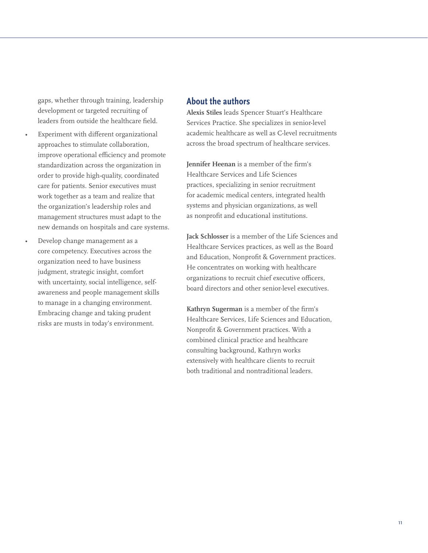gaps, whether through training, leadership development or targeted recruiting of leaders from outside the healthcare field.

- Experiment with different organizational approaches to stimulate collaboration, improve operational efficiency and promote standardization across the organization in order to provide high-quality, coordinated care for patients. Senior executives must work together as a team and realize that the organization's leadership roles and management structures must adapt to the new demands on hospitals and care systems.
	- Develop change management as a core competency. Executives across the organization need to have business judgment, strategic insight, comfort with uncertainty, social intelligence, selfawareness and people management skills to manage in a changing environment. Embracing change and taking prudent risks are musts in today's environment.

#### **About the authors**

**Alexis Stiles** leads Spencer Stuart's Healthcare Services Practice. She specializes in senior-level academic healthcare as well as C-level recruitments across the broad spectrum of healthcare services.

**Jennifer Heenan** is a member of the firm's Healthcare Services and Life Sciences practices, specializing in senior recruitment for academic medical centers, integrated health systems and physician organizations, as well as nonprofit and educational institutions.

**Jack Schlosser** is a member of the Life Sciences and Healthcare Services practices, as well as the Board and Education, Nonprofit & Government practices. He concentrates on working with healthcare organizations to recruit chief executive officers, board directors and other senior-level executives.

**Kathryn Sugerman** is a member of the firm's Healthcare Services, Life Sciences and Education, Nonprofit & Government practices. With a combined clinical practice and healthcare consulting background, Kathryn works extensively with healthcare clients to recruit both traditional and nontraditional leaders.